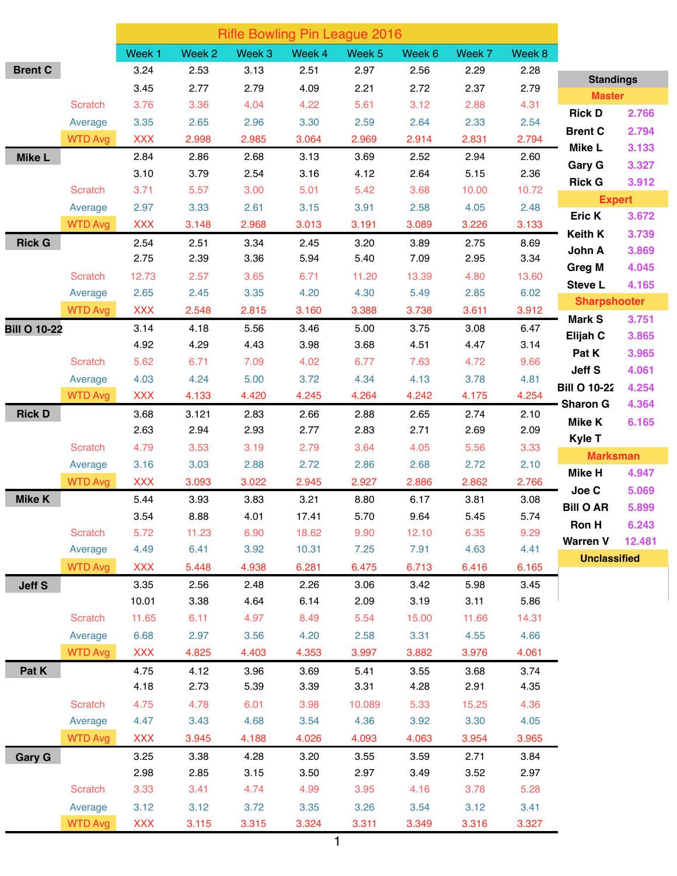|                     |                | <b>Rifle Bowling Pin League 2016</b> |        |                   |        |                   |        |        |        |                           |                 |
|---------------------|----------------|--------------------------------------|--------|-------------------|--------|-------------------|--------|--------|--------|---------------------------|-----------------|
|                     |                | Week <sub>1</sub>                    | Week 2 | Week <sub>3</sub> | Week 4 | Week <sub>5</sub> | Week 6 | Week 7 | Week 8 |                           |                 |
| <b>Brent C</b>      |                | 3.24                                 | 2.53   | 3.13              | 2.51   | 2.97              | 2.56   | 2.29   | 2.28   | <b>Standings</b>          |                 |
|                     |                | 3.45                                 | 2.77   | 2.79              | 4.09   | 2.21              | 2.72   | 2.37   | 2.79   | <b>Master</b>             |                 |
|                     | <b>Scratch</b> | 3.76                                 | 3.36   | 4.04              | 4.22   | 5.61              | 3.12   | 2.88   | 4.31   | <b>Rick D</b>             | 2.766           |
|                     | Average        | 3.35                                 | 2.65   | 2.96              | 3.30   | 2.59              | 2.64   | 2.33   | 2.54   | <b>Brent C</b>            | 2.794           |
|                     | <b>WTD Avg</b> | <b>XXX</b>                           | 2.998  | 2.985             | 3.064  | 2.969             | 2.914  | 2.831  | 2.794  | <b>Mike L</b>             | 3.133           |
| <b>Mike L</b>       |                | 2.84                                 | 2.86   | 2.68              | 3.13   | 3.69              | 2.52   | 2.94   | 2.60   | <b>Gary G</b>             | 3.327           |
|                     |                | 3.10                                 | 3.79   | 2.54              | 3.16   | 4.12              | 2.64   | 5.15   | 2.36   | <b>Rick G</b>             | 3.912           |
|                     | <b>Scratch</b> | 3.71                                 | 5.57   | 3.00              | 5.01   | 5.42              | 3.68   | 10.00  | 10.72  |                           |                 |
|                     | Average        | 2.97                                 | 3.33   | 2.61              | 3.15   | 3.91              | 2.58   | 4.05   | 2.48   | <b>Expert</b><br>Eric K   | 3.672           |
|                     | <b>WTD Avg</b> | <b>XXX</b>                           | 3.148  | 2.968             | 3.013  | 3.191             | 3.089  | 3.226  | 3.133  | <b>Keith K</b>            | 3.739           |
| <b>Rick G</b>       |                | 2.54                                 | 2.51   | 3.34              | 2.45   | 3.20              | 3.89   | 2.75   | 8.69   | John A                    | 3.869           |
|                     |                | 2.75                                 | 2.39   | 3.36              | 5.94   | 5.40              | 7.09   | 2.95   | 3.34   | <b>Greg M</b>             | 4.045           |
|                     | <b>Scratch</b> | 12.73                                | 2.57   | 3.65              | 6.71   | 11.20             | 13.39  | 4.80   | 13.60  | <b>Steve L</b>            | 4.165           |
|                     | Average        | 2.65                                 | 2.45   | 3.35              | 4.20   | 4.30              | 5.49   | 2.85   | 6.02   | <b>Sharpshooter</b>       |                 |
|                     | <b>WTD Avg</b> | <b>XXX</b>                           | 2.548  | 2.815             | 3.160  | 3.388             | 3.738  | 3.611  | 3.912  | <b>Mark S</b>             | 3.751           |
| <b>Bill O 10-22</b> |                | 3.14                                 | 4.18   | 5.56              | 3.46   | 5.00              | 3.75   | 3.08   | 6.47   | Elijah C                  | 3.865           |
|                     |                | 4.92                                 | 4.29   | 4.43              | 3.98   | 3.68              | 4.51   | 4.47   | 3.14   | Pat K                     | 3.965           |
|                     | <b>Scratch</b> | 5.62                                 | 6.71   | 7.09              | 4.02   | 6.77              | 7.63   | 4.72   | 9.66   | Jeff S                    | 4.061           |
|                     | Average        | 4.03                                 | 4.24   | 5.00              | 3.72   | 4.34              | 4.13   | 3.78   | 4.81   | <b>Bill O 10-22</b>       |                 |
|                     | <b>WTD Avg</b> | <b>XXX</b>                           | 4.133  | 4.420             | 4.245  | 4.264             | 4.242  | 4.175  | 4.254  | <b>Sharon G</b>           | 4.254           |
| <b>Rick D</b>       |                | 3.68                                 | 3.121  | 2.83              | 2.66   | 2.88              | 2.65   | 2.74   | 2.10   |                           | 4.364           |
|                     |                | 2.63                                 | 2.94   | 2.93              | 2.77   | 2.83              | 2.71   | 2.69   | 2.09   | <b>Mike K</b>             | 6.165           |
|                     | <b>Scratch</b> | 4.79                                 | 3.53   | 3.19              | 2.79   | 3.64              | 4.05   | 5.56   | 3.33   | Kyle T                    |                 |
|                     | Average        | 3.16                                 | 3.03   | 2.88              | 2.72   | 2.86              | 2.68   | 2.72   | 2.10   | <b>Marksman</b><br>Mike H | 4.947           |
|                     | <b>WTD Avg</b> | <b>XXX</b>                           | 3.093  | 3.022             | 2.945  | 2.927             | 2.886  | 2.862  | 2.766  |                           |                 |
| <b>Mike K</b>       |                | 5.44                                 | 3.93   | 3.83              | 3.21   | 8.80              | 6.17   | 3.81   | 3.08   | Joe C<br><b>Bill O AR</b> | 5.069<br>5.899  |
|                     |                | 3.54                                 | 8.88   | 4.01              | 17.41  | 5.70              | 9.64   | 5.45   | 5.74   |                           |                 |
|                     | Scratch        | 5.72                                 | 11.23  | 6.90              | 18.62  | 9.90              | 12.10  | 6.35   | 9.29   | Ron H<br><b>Warren V</b>  | 6.243<br>12.481 |
|                     | Average        | 4.49                                 | 6.41   | 3.92              | 10.31  | 7.25              | 7.91   | 4.63   | 4.41   | <b>Unclassified</b>       |                 |
|                     | <b>WTD Avg</b> | <b>XXX</b>                           | 5.448  | 4.938             | 6.281  | 6.475             | 6.713  | 6.416  | 6.165  |                           |                 |
| <b>Jeff S</b>       |                | 3.35                                 | 2.56   | 2.48              | 2.26   | 3.06              | 3.42   | 5.98   | 3.45   |                           |                 |
|                     |                | 10.01                                | 3.38   | 4.64              | 6.14   | 2.09              | 3.19   | 3.11   | 5.86   |                           |                 |
|                     | Scratch        | 11.65                                | 6.11   | 4.97              | 8.49   | 5.54              | 15.00  | 11.66  | 14.31  |                           |                 |
|                     | Average        | 6.68                                 | 2.97   | 3.56              | 4.20   | 2.58              | 3.31   | 4.55   | 4.66   |                           |                 |
|                     | <b>WTD Avg</b> | <b>XXX</b>                           | 4.825  | 4.403             | 4.353  | 3.997             | 3.882  | 3.976  | 4.061  |                           |                 |
| Pat K               |                | 4.75                                 | 4.12   | 3.96              | 3.69   | 5.41              | 3.55   | 3.68   | 3.74   |                           |                 |
|                     |                | 4.18                                 | 2.73   | 5.39              | 3.39   | 3.31              | 4.28   | 2.91   | 4.35   |                           |                 |
|                     | Scratch        | 4.75                                 | 4.78   | 6.01              | 3.98   | 10.089            | 5.33   | 15.25  | 4.36   |                           |                 |
|                     | Average        | 4.47                                 | 3.43   | 4.68              | 3.54   | 4.36              | 3.92   | 3.30   | 4.05   |                           |                 |
|                     | <b>WTD Avg</b> | <b>XXX</b>                           | 3.945  | 4.188             | 4.026  | 4.093             | 4.063  | 3.954  | 3.965  |                           |                 |
| <b>Gary G</b>       |                | 3.25                                 | 3.38   | 4.28              | 3.20   | 3.55              | 3.59   | 2.71   | 3.84   |                           |                 |
|                     |                | 2.98                                 | 2.85   | 3.15              | 3.50   | 2.97              | 3.49   | 3.52   | 2.97   |                           |                 |
|                     | <b>Scratch</b> | 3.33                                 | 3.41   | 4.74              | 4.99   | 3.95              | 4.16   | 3.78   | 5.28   |                           |                 |
|                     | Average        | 3.12                                 | 3.12   | 3.72              | 3.35   | 3.26              | 3.54   | 3.12   | 3.41   |                           |                 |
|                     | <b>WTD Avg</b> | <b>XXX</b>                           | 3.115  | 3.315             | 3.324  | 3.311             | 3.349  | 3.316  | 3.327  |                           |                 |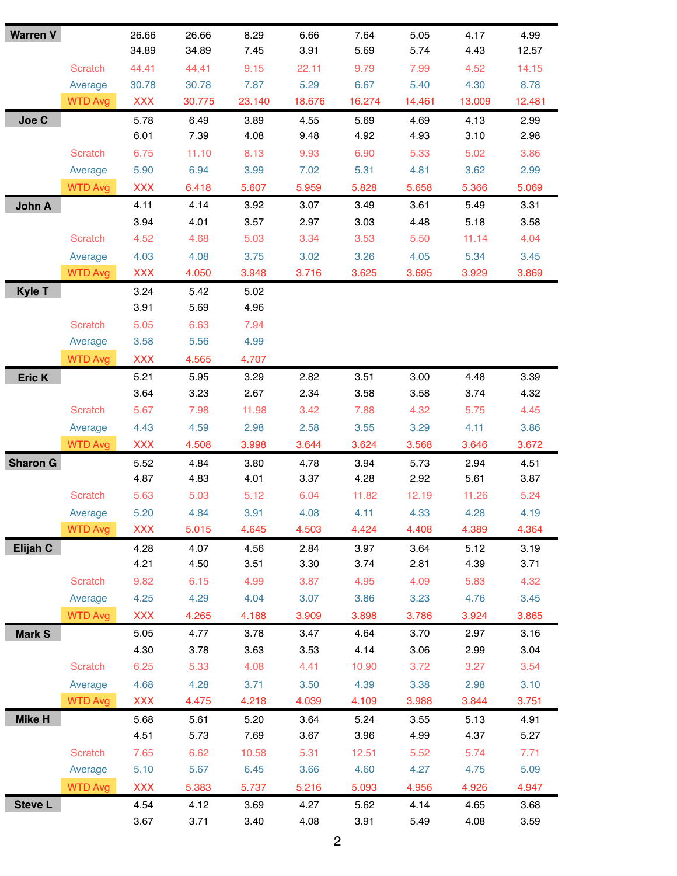| <b>Warren V</b> |                | 26.66      | 26.66  | 8.29   | 6.66   | 7.64   | 5.05   | 4.17   | 4.99   |
|-----------------|----------------|------------|--------|--------|--------|--------|--------|--------|--------|
|                 |                | 34.89      | 34.89  | 7.45   | 3.91   | 5.69   | 5.74   | 4.43   | 12.57  |
|                 | <b>Scratch</b> | 44.41      | 44,41  | 9.15   | 22.11  | 9.79   | 7.99   | 4.52   | 14.15  |
|                 | Average        | 30.78      | 30.78  | 7.87   | 5.29   | 6.67   | 5.40   | 4.30   | 8.78   |
|                 | <b>WTD Avg</b> | <b>XXX</b> | 30.775 | 23.140 | 18.676 | 16.274 | 14.461 | 13.009 | 12.481 |
| Joe C           |                | 5.78       | 6.49   | 3.89   | 4.55   | 5.69   | 4.69   | 4.13   | 2.99   |
|                 |                | 6.01       | 7.39   | 4.08   | 9.48   | 4.92   | 4.93   | 3.10   | 2.98   |
|                 | <b>Scratch</b> | 6.75       | 11.10  | 8.13   | 9.93   | 6.90   | 5.33   | 5.02   | 3.86   |
|                 | Average        | 5.90       | 6.94   | 3.99   | 7.02   | 5.31   | 4.81   | 3.62   | 2.99   |
|                 | <b>WTD Avg</b> | <b>XXX</b> | 6.418  | 5.607  | 5.959  | 5.828  | 5.658  | 5.366  | 5.069  |
| John A          |                | 4.11       | 4.14   | 3.92   | 3.07   | 3.49   | 3.61   | 5.49   | 3.31   |
|                 |                | 3.94       | 4.01   | 3.57   | 2.97   | 3.03   | 4.48   | 5.18   | 3.58   |
|                 | <b>Scratch</b> | 4.52       | 4.68   | 5.03   | 3.34   | 3.53   | 5.50   | 11.14  | 4.04   |
|                 | Average        | 4.03       | 4.08   | 3.75   | 3.02   | 3.26   | 4.05   | 5.34   | 3.45   |
|                 | <b>WTD Avg</b> | <b>XXX</b> | 4.050  | 3.948  | 3.716  | 3.625  | 3.695  | 3.929  | 3.869  |
| <b>Kyle T</b>   |                | 3.24       | 5.42   | 5.02   |        |        |        |        |        |
|                 |                | 3.91       | 5.69   | 4.96   |        |        |        |        |        |
|                 | <b>Scratch</b> | 5.05       | 6.63   | 7.94   |        |        |        |        |        |
|                 | Average        | 3.58       | 5.56   | 4.99   |        |        |        |        |        |
|                 | <b>WTD Avg</b> | <b>XXX</b> | 4.565  | 4.707  |        |        |        |        |        |
| Eric K          |                | 5.21       | 5.95   | 3.29   | 2.82   | 3.51   | 3.00   | 4.48   | 3.39   |
|                 |                | 3.64       | 3.23   | 2.67   | 2.34   | 3.58   | 3.58   | 3.74   | 4.32   |
|                 | <b>Scratch</b> | 5.67       | 7.98   | 11.98  | 3.42   | 7.88   | 4.32   | 5.75   | 4.45   |
|                 | Average        | 4.43       | 4.59   | 2.98   | 2.58   | 3.55   | 3.29   | 4.11   | 3.86   |
|                 | <b>WTD Avg</b> | <b>XXX</b> | 4.508  | 3.998  | 3.644  | 3.624  | 3.568  | 3.646  | 3.672  |
| <b>Sharon G</b> |                | 5.52       | 4.84   | 3.80   | 4.78   | 3.94   | 5.73   | 2.94   | 4.51   |
|                 |                | 4.87       | 4.83   | 4.01   | 3.37   | 4.28   | 2.92   | 5.61   | 3.87   |
|                 | <b>Scratch</b> | 5.63       | 5.03   | 5.12   | 6.04   | 11.82  | 12.19  | 11.26  | 5.24   |
|                 | Average        | 5.20       | 4.84   | 3.91   | 4.08   | 4.11   | 4.33   | 4.28   | 4.19   |
|                 | <b>WTD Avg</b> | <b>XXX</b> | 5.015  | 4.645  | 4.503  | 4.424  | 4.408  | 4.389  | 4.364  |
| Elijah C        |                | 4.28       | 4.07   | 4.56   | 2.84   | 3.97   | 3.64   | 5.12   | 3.19   |
|                 |                | 4.21       | 4.50   | 3.51   | 3.30   | 3.74   | 2.81   | 4.39   | 3.71   |
|                 | <b>Scratch</b> | 9.82       | 6.15   | 4.99   | 3.87   | 4.95   | 4.09   | 5.83   | 4.32   |
|                 | Average        | 4.25       | 4.29   | 4.04   | 3.07   | 3.86   | 3.23   | 4.76   | 3.45   |
|                 | <b>WTD Avg</b> | <b>XXX</b> | 4.265  | 4.188  | 3.909  | 3.898  | 3.786  | 3.924  | 3.865  |
| <b>Mark S</b>   |                | 5.05       | 4.77   | 3.78   | 3.47   | 4.64   | 3.70   | 2.97   | 3.16   |
|                 |                | 4.30       | 3.78   | 3.63   | 3.53   | 4.14   | 3.06   | 2.99   | 3.04   |
|                 | <b>Scratch</b> | 6.25       | 5.33   | 4.08   | 4.41   | 10.90  | 3.72   | 3.27   | 3.54   |
|                 | Average        | 4.68       | 4.28   | 3.71   | 3.50   | 4.39   | 3.38   | 2.98   | 3.10   |
|                 | <b>WTD Avg</b> | <b>XXX</b> | 4.475  | 4.218  | 4.039  | 4.109  | 3.988  | 3.844  | 3.751  |
| <b>Mike H</b>   |                | 5.68       | 5.61   | 5.20   | 3.64   | 5.24   | 3.55   | 5.13   | 4.91   |
|                 |                | 4.51       | 5.73   | 7.69   | 3.67   | 3.96   | 4.99   | 4.37   | 5.27   |
|                 | <b>Scratch</b> | 7.65       | 6.62   | 10.58  | 5.31   | 12.51  | 5.52   | 5.74   | 7.71   |
|                 | Average        | 5.10       | 5.67   | 6.45   | 3.66   | 4.60   | 4.27   | 4.75   | 5.09   |
|                 | <b>WTD Avg</b> | <b>XXX</b> | 5.383  | 5.737  | 5.216  | 5.093  | 4.956  | 4.926  | 4.947  |
| <b>Steve L</b>  |                | 4.54       | 4.12   | 3.69   | 4.27   | 5.62   | 4.14   | 4.65   | 3.68   |
|                 |                | 3.67       | 3.71   | 3.40   | 4.08   | 3.91   | 5.49   | 4.08   | 3.59   |